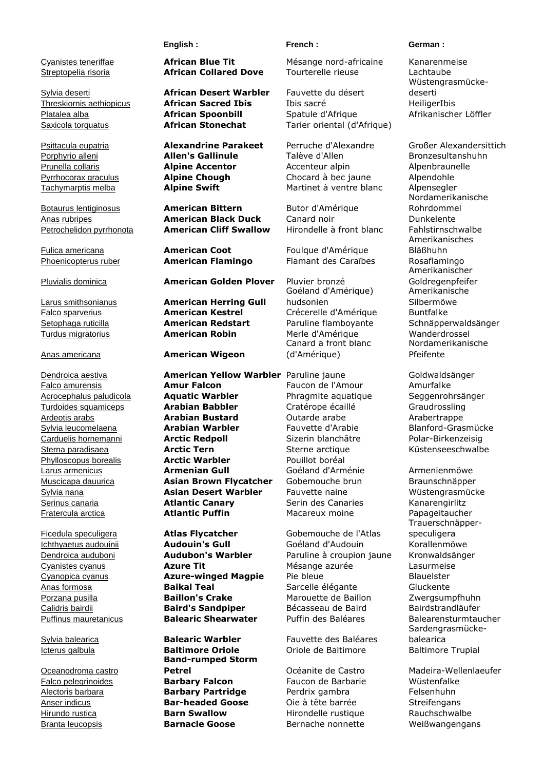Oceanodroma castro

### **English : French : German :**

Streptopelia risoria **African Collared Dove** Tourterelle rieuse Lachtaube

Sylvia deserti **African Desert Warbler** Fauvette du désert

Porphyrio alleni **Allen's Gallinule** Talève d'Allen Bronzesultanshuhn Prunella collaris **Alpine Accentor** Accenteur alpin Alpenbraunelle Pyrrhocorax graculus **Alpine Chough** Chocard à bec jaune Alpendohle Tachymarptis melba **Alpine Swift** Martinet à ventre blanc Alpensegler

## Botaurus lentiginosus **American Bittern** Butor d'Amérique Anas rubripes **American Black Duck** Canard noir Dunkelente Petrochelidon pyrrhonota **American Cliff Swallow** Hirondelle à front blanc Fahlstirnschwalbe

Fulica americana **American Coot** Foulque d'Amérique

## Pluvialis dominica **American Golden Plover** Pluvier bronzé

Larus smithsonianus **American Herring Gull** Falco sparverius **American Kestrel** Crécerelle d'Amérique Buntfalke Setophaga ruticilla **American Redstart** Paruline flamboyante Schnäpperwaldsänger Turdus migratorius **American Robin** Merle d'Amérique Wanderdrossel

## Anas americana **American Wigeon**

Dendroica aestiva **American Yellow Warbler** Paruline jaune Goldwaldsänger Falco amurensis **Amur Falcon** Faucon de l'Amour Amurfalke Acrocephalus paludicola **Aquatic Warbler** Phragmite aquatique Seggenrohrsänger **Turdoides squamiceps <b>Arabian Babbler** Cratérope écaillé Graudrossling<br>
Ardeotis arabs **Arabian Bustard** Outarde arabe Arabertranne Ardeotis arabs **Arabian Bustard** Outarde arabe Arabertrappe Sylvia leucomelaena **Arabian Warbler** Fauvette d'Arabie Blanford-Grasmücke Carduelis hornemanni **Arctic Redpoll** Sizerin blanchâtre Polar-Birkenzeisig Sterna paradisaea **Arctic Tern** Sterne arctique Küstenseeschwalbe Phylloscopus borealis **Arctic Warbler** Pouillot boréal Larus armenicus **Armenian Gull** Goéland d'Arménie Armenienmöwe Muscicapa dauurica **Asian Brown Flycatcher** Gobemouche brun Braunschnäpper Sylvia nana **Asian Desert Warbler** Fauvette naine Wüstengrasmücke Serinus canaria **Atlantic Canary** Serin des Canaries Kanarengirlitz Fratercula arctica **Atlantic Puffin** Macareux moine Papageitaucher

Ficedula speculigera **Atlas Flycatcher** Gobemouche de l'Atlas

Sylvia balearica **Balearic Warbler** Fauvette des Baléares **Band-rumped Storm**  Falco pelegrinoides **Barbary Falcon** Faucon de Barbarie Wüstenfalke Alectoris barbara **Barbary Partridge** Perdrix gambra Felsenhuhn Anser indicus **Bar-headed Goose** Oie à tête barrée Streifengans Hirundo rustica **Barn Swallow** Hirondelle rustique Rauchschwalbe Branta leucopsis **Barnacle Goose** Bernache nonnette Weißwangengans

Cyanistes teneriffae **African Blue Tit** Mésange nord-africaine Kanarenmeise

Threskiornis aethiopicus **African Sacred Ibis** Ibis sacré HeiligerIbis Platalea alba **African Spoonbill** Spatule d'Afrique Afrikanischer Löffler Saxicola torquatus **African Stonechat** Tarier oriental (d'Afrique)

Phoenicopterus ruber **American Flamingo** Flamant des Caraïbes Rosaflamingo

Goéland d'Amérique) hudsonien Canard à front blanc (d'Amérique)

Ichthyaetus audouinii **Audouin's Gull Goéland d'Audouin** Korallenmöwe Dendroica auduboni **Audubon's Warbler** Paruline à croupion jaune Kronwaldsänger Cyanistes cyanus **Azure Tit** Mésange azurée Lasurmeise Cyanopica cyanus **Azure-winged Magpie** Pie bleue Blauelster Anas formosa **Baikal Teal** Sarcelle élégante Gluckente Porzana pusilla **Baillon's Crake** Marouette de Baillon Zwergsumpfhuhn Calidris bairdii **Baird's Sandpiper** Bécasseau de Baird Bairdstrandläufer Puffinus mauretanicus **Balearic Shearwater** Puffin des Baléares Balearensturmtaucher

Icterus galbula **Baltimore Oriole Company Constant Constant Constant Constant Constant Constant Constant Constant** 

Wüstengrasmückedeserti

Psittacula eupatria **Alexandrine Parakeet** Perruche d'Alexandre Großer Alexandersittich Nordamerikanische Rohrdommel Amerikanisches Bläßhuhn Amerikanischer Goldregenpfeifer Amerikanische Silbermöwe Nordamerikanische Pfeifente

Trauerschnäpperspeculigera Sardengrasmückebalearica

**Petrel Commental Commental Commental Commental Commental Commental Commental Comment Comment Comment Comment Comment Comment Comment Comment Comment Comment Comment Comment Comment Comment Comment Comment Comment Commen**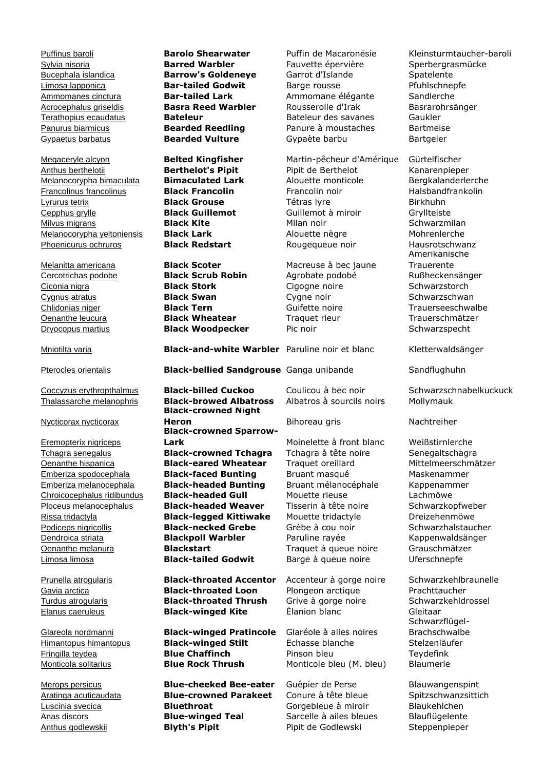Megaceryle alcyon **Belted Kingfisher** Martin-pêcheur d'Amérique Gürtelfischer Anthus berthelotii **Berthelot's Pipit** Pipit de Berthelot Kanarenpieper Melanocorypha bimaculata **Bimaculated Lark** Alouette monticole Bergkalanderlerche **Francolinus francolinus Black Francolin Francolin noir Halsbandfrankolin** Lyrurus tetrix **Black Grouse** Tétras lyre Birkhuhn Cepphus grylle **Black Guillemot** Guillemot à miroir Gryllteiste **Milvus migrans Community Communist Communist Communist Communist Communist Communist Communist Communist Communist Communist Communist Communist Communist Communist Communist Communist Communist Communist Communist Commun** Melanocorypha yeltoniensis **Black Lark** Alouette nègre Mohrenlerche Phoenicurus ochruros **Black Redstart** Rougequeue noir Hausrotschwanz

Dryocopus martius **Black Woodpecker** Pic noir Schwarzspecht

Nycticorax nycticorax

Eremopterix nigriceps

Melanitta americana **Black Scoter** Macreuse à bec jaune

Sylvia nisoria **Barred Warbler** Fauvette épervière Sperbergrasmücke Bucephala islandica **Barrow's Goldeneye** Garrot d'Islande Spatelente Limosa lapponica **Bar-tailed Godwit** Barge rousse Pfuhlschnepfe Ammomanes cinctura **Bar-tailed Lark** Ammomane élégante Sandlerche Acrocephalus griseldis **Basra Reed Warbler** Rousserolle d'Irak Basrarohrsänger Terathopius ecaudatus **Bateleur** Bateleur des savanes Gaukler Panurus biarmicus **Bearded Reedling** Panure à moustaches Bartmeise Gypaetus barbatus **Bearded Vulture** Gypaète barbu Bartgeier

Cercotrichas podobe **Black Scrub Robin** Agrobate podobé Rußheckensänger Ciconia nigra **Black Stork** Cigogne noire Schwarzstorch Cygnus atratus **Black Swan** Cygne noir **Schwarzschwan** Chlidonias niger **Black Tern** Guifette noire Trauerseeschwalbe Oenanthe leucura **Black Wheatear** Traquet rieur Trauerschmätzer

Mniotilta varia **Black-and-white Warbler** Paruline noir et blanc Kletterwaldsänger

Pterocles orientalis **Black-bellied Sandgrouse** Ganga unibande Sandflughuhn

Thalassarche melanophris **Black-browed Albatross** Albatros à sourcils noirs Mollymauk **Black-crowned Night Heron** Bihoreau gris Nachtreiher **Black-crowned Sparrow-Lark** Moinelette à front blanc Weißstirnlerche Tchagra senegalus **Black-crowned Tchagra** Tchagra à tête noire Senegaltschagra Oenanthe hispanica **Black-eared Wheatear** Traquet oreillard Mittelmeerschmätzer Emberiza spodocephala **Black-faced Bunting** Bruant masqué Maskenammer Emberiza melanocephala **Black-headed Bunting** Bruant mélanocéphale Kappenammer Chroicocephalus ridibundus **Black-headed Gull** Mouette rieuse Lachmöwe Ploceus melanocephalus **Black-headed Weaver** Tisserin à tête noire Schwarzkopfweber Rissa tridactyla **Black-legged Kittiwake** Mouette tridactyle Dreizehenmöwe Podiceps nigricollis **Black-necked Grebe** Grèbe à cou noir Schwarzhalstaucher Dendroica striata **Blackpoll Warbler** Paruline rayée Kappenwaldsänger Oenanthe melanura **Blackstart** Traquet à queue noire Grauschmätzer Limosa limosa **Black-tailed Godwit** Barge à queue noire Uferschnepfe

Prunella atrogularis **Black-throated Accentor** Accenteur à gorge noire Schwarzkehlbraunelle Gavia arctica **Black-throated Loon** Plongeon arctique Prachttaucher Turdus atrogularis **Black-throated Thrush** Grive à gorge noire Schwarzkehldrossel Elanus caeruleus **Black-winged Kite** Élanion blanc Gleitaar

Glareola nordmanni **Black-winged Pratincole** Glaréole à ailes noires Himantopus himantopus **Black-winged Stilt** Échasse blanche Stelzenläufer Fringilla teydea **Blue Chaffinch** Pinson bleu Teydefink Monticola solitarius **Blue Rock Thrush** Monticole bleu (M. bleu) Blaumerle

Merops persicus **Blue-cheeked Bee-eater** Guêpier de Perse Blauwangenspint Aratinga acuticaudata **Blue-crowned Parakeet** Conure à tête bleue Spitzschwanzsittich Luscinia svecica **Bluethroat** Gorgebleue à miroir Blaukehlchen Anas discors **Blue-winged Teal** Sarcelle à ailes bleues Blauflügelente Anthus godlewskii **Blyth's Pipit** Pipit de Godlewski Steppenpieper

Puffinus baroli **Barolo Shearwater** Puffin de Macaronésie Kleinsturmtaucher-baroli

Amerikanische **Trauerente** 

Coccyzus erythropthalmus **Black-billed Cuckoo** Coulicou à bec noir Schwarzschnabelkuckuck

Schwarzflügel-Brachschwalbe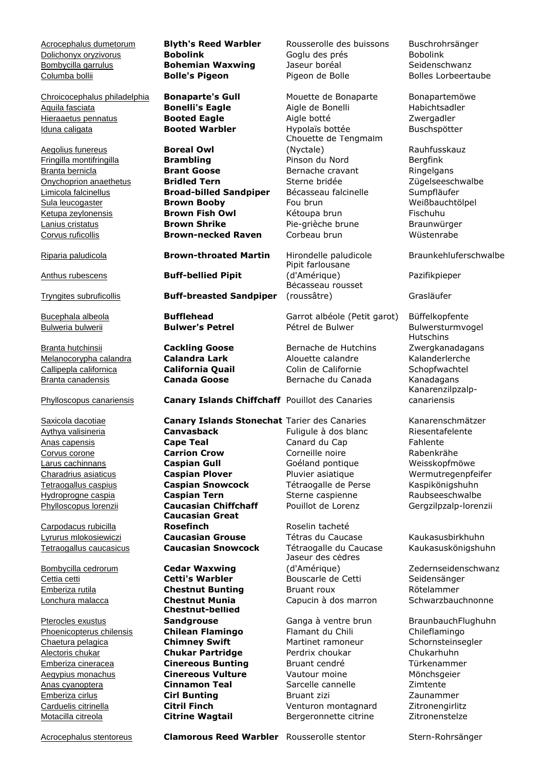Chroicocephalus philadelphia **Bonaparte's Gull** Mouette de Bonaparte Bonapartemöwe Aquila fasciata **Bonelli's Eagle** Aigle de Bonelli Habichtsadler Hieraaetus pennatus **Booted Eagle Aigle botté Aigle Booted Eagle** Aigle botté **Aigle Aigle Eagle** Aigle Booted Eagle Iduna caligata **Booted Warbler** Hypolaïs bottée Buschspötter

**Aegolius funereus**<br> **Boreal Owl**<br> **Brambling** 

Melanocorypha calandra **Calandra Lark** Alouette calandre Kalanderlerche Callipepla californica **California Quail** Colin de Californie Schopfwachtel Branta canadensis **Canada Goose** Bernache du Canada Kanadagans

Carpodacus rubicilla

Pterocles exustus Phoenicopterus chilensis **Chilean Flamingo** Flamant du Chili Chileflamingo **Chaetura pelagica Chimney Swift** Martinet ramoneur Schornsteinsegler Alectoris chukar **Chukar Partridge** Perdrix choukar Chukarhuhn Emberiza cirlus **Cirl Bunting** Bruant zizi Zaunammer Carduelis citrinella **Citril Finch** Venturon montagnard Zitronengirlitz Motacilla citreola **Citrine Wagtail** Bergeronnette citrine Zitronenstelze

Fringilla montifringilla **Brambling** Pinson du Nord Bergfink Branta bernicla **Brant Goose** Bernache cravant Ringelgans Onychoprion anaethetus **Bridled Tern** Sterne bridée Zügelseeschwalbe Limicola falcinellus **Broad-billed Sandpiper** Bécasseau falcinelle Sumpfläufer Sula leucogaster **Brown Booby** Fou brun **Weißbauchtölpel** Ketupa zeylonensis **Brown Fish Owl** Kétoupa brun Fischuhu Lanius cristatus **Brown Shrike** Pie-grièche brune Braunwürger Corvus ruficollis **Brown-necked Raven** Corbeau brun Wüstenrabe

Riparia paludicola **Brown-throated Martin** Hirondelle paludicole Braunkehluferschwalbe

Anthus rubescens **Buff-bellied Pipit**

Tryngites subruficollis **Buff-breasted Sandpiper**

Phylloscopus canariensis **Canary Islands Chiffchaff** Pouillot des Canaries

Aythya valisineria **Canvasback** Fuligule à dos blanc Riesentafelente Anas capensis **Cape Teal** Canard du Cap Fahlente Corvus corone **Carrion Crow** Corneille noire Rabenkrähe Larus cachinnans **Caspian Gull** Goéland pontique Weisskopfmöwe Charadrius asiaticus **Caspian Plover** Pluvier asiatique Wermutregenpfeifer Tetraogallus caspius **Caspian Snowcock** Tétraogalle de Perse Kaspikönigshuhn Hydroprogne caspia **Caspian Tern** Sterne caspienne Raubseeschwalbe Phylloscopus lorenzii **Caucasian Chiffchaff** Pouillot de Lorenz Gergzilpzalp-lorenzii **Caucasian Great Rosefinch** Roselin tacheté Lyrurus mlokosiewiczi **Caucasian Grouse** Tétras du Caucase Kaukasusbirkhuhn Tetraogallus caucasicus **Caucasian Snowcock** Tétraogalle du Caucase Kaukasuskönigshuhn

Bombycilla cedrorum **Cedar Waxwing Chestnut-bellied** 

Acrocephalus dumetorum **Blyth's Reed Warbler** Rousserolle des buissons Buschrohrsänger Dolichonyx oryzivorus **Bobolink** Goglu des prés Bobolink Bombycilla garrulus **Bohemian Waxwing** Jaseur boréal Seidenschwanz Columba bollii **Bolle's Pigeon** Pigeon de Bolle Bolles Lorbeertaube

> Chouette de Tengmalm (Nyctale) Rauhfusskauz

Pipit farlousane (d'Amérique) Pazifikpieper Bécasseau rousset (roussâtre) Grasläufer

Bucephala albeola **Bufflehead** Garrot albéole (Petit garot) Büffelkopfente Bulweria bulwerii **Bulwer's Petrel** Pétrel de Bulwer Bulwersturmvogel

Branta hutchinsii **Cackling Goose** Bernache de Hutchins

Saxicola dacotiae **Canary Islands Stonechat** Tarier des Canaries Kanarenschmätzer

Jaseur des cèdres (d'Amérique) Zedernseidenschwanz Cettia cetti **Cetti's Warbler** Bouscarle de Cetti Seidensänger Emberiza rutila **Chestnut Bunting** Bruant roux Rötelammer Lonchura malacca **Chestnut Munia** Capucin à dos marron Schwarzbauchnonne

**Sandgrouse Ganga à ventre brun** BraunbauchFlughuhn Emberiza cineracea **Cinereous Bunting** Bruant cendré Türkenammer Aegypius monachus **Cinereous Vulture** Vautour moine Mönchsgeier Anas cyanoptera **Cinnamon Teal** Sarcelle cannelle Zimtente

Hutschins Zwergkanadagans Kanarenzilpzalpcanariensis

Acrocephalus stentoreus **Clamorous Reed Warbler** Rousserolle stentor Stern-Rohrsänger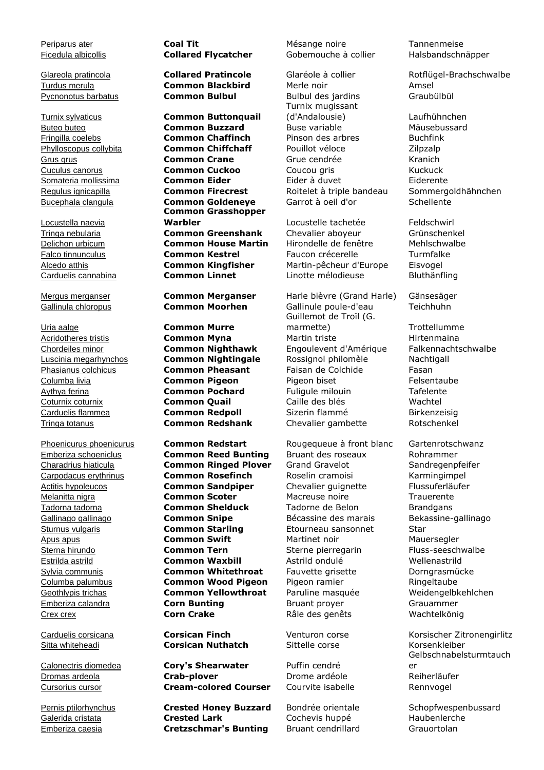Locustella naevia

Periparus ater **Coal Tit** Mésange noire Tannenmeise

Turnix sylvaticus **Common Buttonquail** Buteo buteo **Common Buzzard** Buse variable Mäusebussard Fringilla coelebs **Common Chaffinch** Pinson des arbres Buchfink Phylloscopus collybita **Common Chiffchaff** Pouillot véloce **Zilpzalp** Grus grus **Common Crane** Grue cendrée Kranich Cuculus canorus **Common Cuckoo** Coucou gris Kuckuck Somateria mollissima **Common Eider** Eider à duvet Eiderente Regulus ignicapilla **Common Firecrest** Roitelet à triple bandeau Sommergoldhähnchen Bucephala clangula **Common Goldeneye** Garrot à oeil d'or Schellente **Common Grasshopper**  Warbler **Marbler** Locustelle tachetée Feldschwirl Tringa nebularia **Common Greenshank** Chevalier aboyeur Grünschenkel Delichon urbicum **Common House Martin** Hirondelle de fenêtre Mehlschwalbe Falco tinnunculus **Common Kestrel** Faucon crécerelle Turmfalke Alcedo atthis **Common Kingfisher** Martin-pêcheur d'Europe Eisvogel Carduelis cannabina **Common Linnet** Linotte mélodieuse Bluthänfling

Uria aalge **Common Murre**

Emberiza schoeniclus **Common Reed Bunting** Bruant des roseaux Rohrammer Charadrius hiaticula **Common Ringed Plover** Grand Gravelot Sandregenpfeifer Carpodacus erythrinus **Common Rosefinch** Roselin cramoisi Karmingimpel Actitis hypoleucos **Common Sandpiper** Chevalier guignette Flussuferläufer Melanitta nigra **Common Scoter** Macreuse noire Trauerente Tadorna tadorna **Common Shelduck** Tadorne de Belon Brandgans Gallinago gallinago **Common Snipe** Bécassine des marais Bekassine-gallinago Sturnus vulgaris **Common Starling** Étourneau sansonnet Star Apus apus **Common Swift** Martinet noir Mauersegler Sterna hirundo **Common Tern** Sterne pierregarin Fluss-seeschwalbe Estrilda astrild **Common Waxbill** Astrild ondulé Wellenastrild Sylvia communis **Common Whitethroat** Fauvette grisette Dorngrasmücke Columba palumbus **Common Wood Pigeon** Pigeon ramier Ringeltaube Geothlypis trichas **Common Yellowthroat** Paruline masquée Weidengelbkehlchen Emberiza calandra **Corn Bunting** Bruant proyer Grauammer Crex crex **Corn Crake** Râle des genêts Wachtelkönig

Sitta whiteheadi **Corsican Nuthatch** Sittelle corse Korsenkleiber

Calonectris diomedea **Cory's Shearwater** Puffin cendré Dromas ardeola **Crab-plover** Drome ardéole Reiherläufer Cursorius cursor **Cream-colored Courser** Courvite isabelle Rennvogel

Pernis ptilorhynchus **Crested Honey Buzzard** Bondrée orientale Schopfwespenbussard Galerida cristata **Crested Lark** Cochevis huppé Haubenlerche Emberiza caesia **Cretzschmar's Bunting** Bruant cendrillard Grauortolan

Ficedula albicollis **Collared Flycatcher** Gobemouche à collier Halsbandschnäpper

Turdus merula **Common Blackbird** Merle noir Amsel Pycnonotus barbatus **Common Bulbul** Bulbul des jardins Graubülbül Turnix mugissant (d'Andalousie) Laufhühnchen

Mergus merganser **Common Merganser** Harle bièvre (Grand Harle) Gänsesäger Gallinula chloropus **Common Moorhen** Gallinule poule-d'eau Teichhuhn Guillemot de Troïl (G. marmette) Trottellumme Acridotheres tristis **Common Myna** Martin triste Martin triste Hirtenmaina Chordeiles minor **Common Nighthawk** Engoulevent d'Amérique Falkennachtschwalbe Luscinia megarhynchos **Common Nightingale** Rossignol philomèle Nachtigall Phasianus colchicus **Common Pheasant** Faisan de Colchide Fasan Columba livia **Common Pigeon** Pigeon biset Felsentaube Aythya ferina **Common Pochard** Fuligule milouin Tafelente Coturnix coturnix **Common Quail** Caille des blés Wachtel Carduelis flammea **Common Redpoll** Sizerin flammé Birkenzeisig Tringa totanus **Common Redshank** Chevalier gambette Rotschenkel

Phoenicurus phoenicurus **Common Redstart** Rougequeue à front blanc Gartenrotschwanz

Glareola pratincola **Collared Pratincole** Glaréole à collier Rotflügel-Brachschwalbe

Carduelis corsicana **Corsican Finch** Venturon corse Korsischer Zitronengirlitz Gelbschnabelsturmtauch er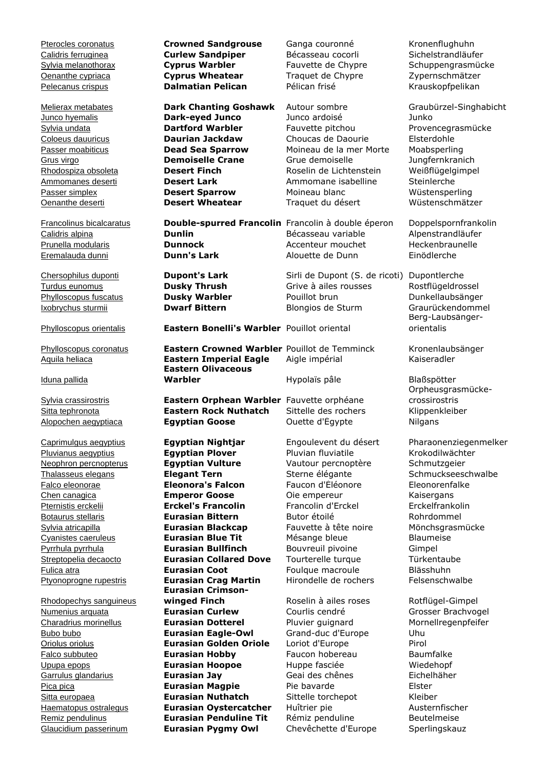Pterocles coronatus **Crowned Sandgrouse** Ganga couronné Kronenflughuhn Calidris ferruginea **Curlew Sandpiper** Bécasseau cocorli Sichelstrandläufer Sylvia melanothorax **Cyprus Warbler** Fauvette de Chypre Schuppengrasmücke Oenanthe cypriaca **Cyprus Wheatear** Traquet de Chypre Zypernschmätzer Pelecanus crispus **Dalmatian Pelican** Pélican frisé Krauskopfpelikan Melierax metabates **Dark Chanting Goshawk** Autour sombre Graubürzel-Singhabicht Junco hyemalis **Dark-eyed Junco** Junco ardoisé Junko Sylvia undata **Dartford Warbler** Fauvette pitchou Provencegrasmücke Coloeus dauuricus **Daurian Jackdaw** Choucas de Daourie Elsterdohle Passer moabiticus **Dead Sea Sparrow** Moineau de la mer Morte Moabsperling Grus virgo **Demoiselle Crane** Grue demoiselle Jungfernkranich Rhodospiza obsoleta **Desert Finch** Roselin de Lichtenstein Weißflügelgimpel Ammomanes deserti **Desert Lark** Ammomane isabelline Steinlerche Passer simplex **Desert Sparrow** Moineau blanc Wüstensperling Oenanthe deserti **Desert Wheatear** Traquet du désert Wüstenschmätzer Francolinus bicalcaratus **Double-spurred Francolin** Francolin à double éperon Doppelspornfrankolin Calidris alpina **Dunlin** Bécasseau variable Alpenstrandläufer Prunella modularis **Dunnock Dunnock** Accenteur mouchet Heckenbraunelle Eremalauda dunni **Dunn's Lark** Alouette de Dunn Einödlerche Chersophilus duponti **Dupont's Lark** Sirli de Dupont (S. de ricoti) Dupontlerche Turdus eunomus **Dusky Thrush** Grive à ailes rousses Rostflügeldrossel Phylloscopus fuscatus **Dusky Warbler** Pouillot brun Dunkellaubsänger Ixobrychus sturmii **Dwarf Bittern** Blongios de Sturm Graurückendommel Phylloscopus orientalis **Eastern Bonelli's Warbler** Pouillot oriental Berg-Laubsängerorientalis Phylloscopus coronatus **Eastern Crowned Warbler** Pouillot de Temminck Kronenlaubsänger Aquila heliaca **Eastern Imperial Eagle** Aigle impérial Kaiseradler Iduna pallida **Eastern Olivaceous Warbler Hypolaïs pâle Blaßspötter** Sylvia crassirostris **Eastern Orphean Warbler** Fauvette orphéane Orpheusgrasmückecrossirostris Sitta tephronota **Eastern Rock Nuthatch** Sittelle des rochers Klippenkleiber Alopochen aegyptiaca **Egyptian Goose** Ouette d'Égypte Nilgans Caprimulgus aegyptius **Egyptian Nightjar** Engoulevent du désert Pharaonenziegenmelker Pluvianus aegyptius **Egyptian Plover** Pluvian fluviatile Krokodilwächter<br>
Neophron percnopterus **Egyptian Vulture** Vautour percnoptère Schmutzgeier Neophron percnopterus **Egyptian Vulture** Vautour percnoptère Schmutzgeier Thalasseus elegans **Elegant Tern** Sterne élégante Schmuckseeschwalbe Falco eleonorae **Eleonora's Falcon** Faucon d'Éléonore Eleonorenfalke Chen canagica **Emperor Goose** Oie empereur Kaisergans Pternistis erckelii **Erckel's Francolin** Francolin d'Erckel Erckelfrankolin Botaurus stellaris **Eurasian Bittern** Butor étoilé **Rohrdommel** Sylvia atricapilla **Eurasian Blackcap** Fauvette à tête noire Mönchsgrasmücke Cyanistes caeruleus **Eurasian Blue Tit** Mésange bleue Blaumeise Pyrrhula pyrrhula **Eurasian Bullfinch** Bouvreuil pivoine Gimpel Streptopelia decaocto **Eurasian Collared Dove** Tourterelle turque Türkentaube Fulica atra **Eurasian Coot** Foulque macroule Blässhuhn Ptyonoprogne rupestris **Eurasian Crag Martin** Hirondelle de rochers Felsenschwalbe Rhodopechys sanguineus **Eurasian Crimsonwinged Finch** Roselin à ailes roses Rotflügel-Gimpel Numenius arquata **Eurasian Curlew** Courlis cendré Grosser Brachvogel Charadrius morinellus **Eurasian Dotterel** Pluvier guignard Mornellregenpfeifer Bubo bubo **Eurasian Eagle-Owl** Grand-duc d'Europe Uhu Oriolus oriolus **Eurasian Golden Oriole** Loriot d'Europe Pirol Falco subbuteo **Eurasian Hobby** Faucon hobereau Baumfalke Upupa epops **Eurasian Hoopoe** Huppe fasciée Wiedehopf Garrulus glandarius **Eurasian Jay** Geai des chênes Eichelhäher Pica pica **Eurasian Magpie** Pie bavarde Elster Sitta europaea **Eurasian Nuthatch** Sittelle torchepot Kleiber Haematopus ostralegus **Eurasian Oystercatcher** Huîtrier pie Austernfischer Remiz pendulinus **Eurasian Penduline Tit** Rémiz penduline Beutelmeise Glaucidium passerinum **Eurasian Pygmy Owl** Chevêchette d'Europe Sperlingskauz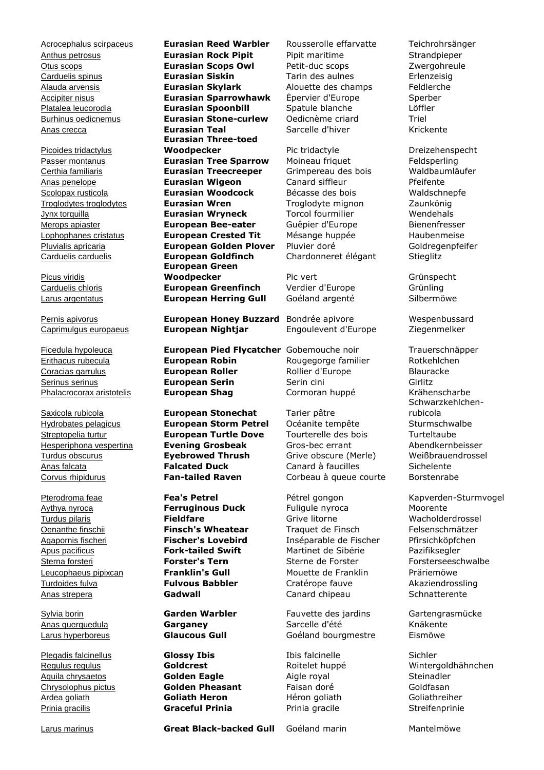Picoides tridactylus

Picus viridis

Plegadis falcinellus **Glossy Ibis** Ibis falcinelle Sichler

Anthus petrosus **Eurasian Rock Pipit** Pipit maritime Strandpieper Otus scops **Eurasian Scops Owl** Petit-duc scops Zwergohreule Carduelis spinus **Eurasian Siskin** Tarin des aulnes Erlenzeisig Alauda arvensis **Eurasian Skylark** Alouette des champs Feldlerche Accipiter nisus **Eurasian Sparrowhawk** Épervier d'Europe Sperber Platalea leucorodia **Eurasian Spoonbill** Spatule blanche Löffler Burhinus oedicnemus **Eurasian Stone-curlew** Oedicnème criard Triel Anas crecca **Eurasian Teal** Sarcelle d'hiver Krickente **Eurasian Three-toed Woodpecker** Pic tridactyle Preizehenspecht Passer montanus **Eurasian Tree Sparrow** Moineau friquet Feldsperling Certhia familiaris **Eurasian Treecreeper** Grimpereau des bois Waldbaumläufer Anas penelope **Eurasian Wigeon** Canard siffleur Pfeifente Scolopax rusticola **Eurasian Woodcock** Bécasse des bois Waldschnepfe Troglodytes troglodytes **Eurasian Wren** Troglodyte mignon Zaunkönig Jynx torquilla **Eurasian Wryneck** Torcol fourmilier Wendehals Merops apiaster **European Bee-eater** Guêpier d'Europe Bienenfresser Lophophanes cristatus **European Crested Tit** Mésange huppée Haubenmeise Pluvialis apricaria **European Golden Plover** Pluvier doré Goldregenpfeifer Carduelis carduelis **European Goldfinch** Chardonneret élégant Stieglitz **European Green Woodpecker** Pic vert Pric Vert Grünspecht Carduelis chloris **European Greenfinch** Verdier d'Europe Grünling Larus argentatus **European Herring Gull** Goéland argenté Silbermöwe

Pernis apivorus **European Honey Buzzard** Bondrée apivore Wespenbussard Caprimulgus europaeus **European Nightjar** Engoulevent d'Europe Ziegenmelker

Ficedula hypoleuca **European Pied Flycatcher** Gobemouche noir Trauerschnäpper Erithacus rubecula **European Robin** Rougegorge familier Rotkehlchen Coracias garrulus **European Roller** Rollier d'Europe Blauracke Serinus serinus **European Serin** Serin cini Girlitz Phalacrocorax aristotelis **European Shag** Cormoran huppé Krähenscharbe

Saxicola rubicola **European Stonechat** Tarier pâtre Hydrobates pelagicus **European Storm Petrel** Océanite tempête Sturmschwalbe Streptopelia turtur **European Turtle Dove** Tourterelle des bois Turteltaube<br>
Hesperiphona vespertina **Evening Grosbeak** Gros-bec errant Abendkernb Hesperiphona vespertina **Evening Grosbeak** Gros-bec errant Abendkernbeisser Turdus obscurus **Eyebrowed Thrush** Grive obscure (Merle) Weißbrauendrossel Anas falcata **Falcated Duck** Canard à faucilles Sichelente Corvus rhipidurus **Fan-tailed Raven** Corbeau à queue courte Borstenrabe

Aquila chrysaetos **Golden Eagle** Aigle royal Steinadler Chrysolophus pictus **Golden Pheasant** Faisan doré Goldfasan Ardea goliath **Goliath Heron** Héron goliath Goliathreiher Prinia gracilis **Graceful Prinia** Prinia gracile Streifenprinie

Acrocephalus scirpaceus **Eurasian Reed Warbler** Rousserolle effarvatte Teichrohrsänger

Aythya nyroca **Ferruginous Duck** Fuligule nyroca Moorente Turdus pilaris **Fieldfare** Grive litorne Wacholderdrossel Oenanthe finschii **Finsch's Wheatear** Traquet de Finsch Felsenschmätzer Agapornis fischeri **Fischer's Lovebird** Inséparable de Fischer Pfirsichköpfchen Apus pacificus **Fork-tailed Swift** Martinet de Sibérie Pazifiksegler Sterna forsteri **Forster's Tern** Sterne de Forster Forsterseeschwalbe Leucophaeus pipixcan **Franklin's Gull** Mouette de Franklin Präriemöwe Turdoides fulva **Fulvous Babbler** Cratérope fauve Akaziendrossling Anas strepera **Gadwall** Canard chipeau Schnatterente

Sylvia borin **Garden Warbler** Fauvette des jardins Gartengrasmücke Anas querquedula **Garganey** Sarcelle d'été Knäkente Larus hyperboreus **Glaucous Gull** Goéland bourgmestre Eismöwe

Schwarzkehlchenrubicola

Pterodroma feae **Fea's Petrel** Petrel perception Pétrel gongon Kapverden-Sturmvogel

Regulus regulus **Goldcrest** Roitelet huppé Wintergoldhähnchen

Larus marinus **Great Black-backed Gull** Goéland marin Mantelmöwe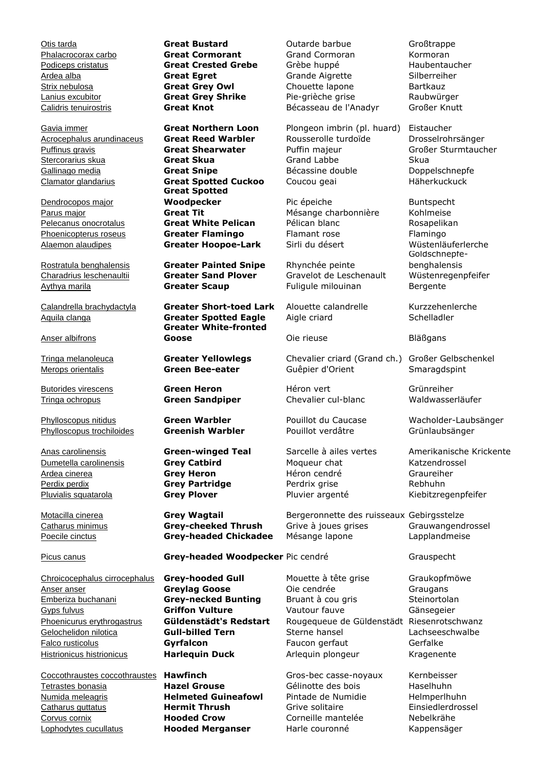Clamator glandarius **Great Spotted Cuckoo** Coucou geai Häherkuckuck

Dendrocopos major

### Anser albifrons

Phylloscopus trochiloides **Greenish Warbler** Pouillot verdâtre Grünlaubsänger

Anser anser **Greylag Goose** Oie cendrée Graugans Emberiza buchanani **Grey-necked Bunting** Bruant à cou gris Steinortolan Gyps fulvus **Griffon Vulture** Vautour fauve Gänsegeier Phoenicurus erythrogastrus **Güldenstädt's Redstart** Rougequeue de Güldenstädt Riesenrotschwanz Gelochelidon nilotica **Gull-billed Tern** Sterne hansel Lachseeschwalbe Falco rusticolus **Gyrfalcon** Faucon gerfaut Gerfalke

Coccothraustes coccothraustes **Hawfinch** Gros-bec casse-noyaux Kernbeisser Tetrastes bonasia **Hazel Grouse** Gélinotte des bois Haselhuhn Catharus guttatus **Hermit Thrush** Grive solitaire Einsiedlerdrossel Corvus cornix **Hooded Crow** Corneille mantelée Nebelkrähe Lophodytes cucullatus **Hooded Merganser** Harle couronné Kappensäger

**Great Spotted Woodpecker** Pic épeiche **Buntspecht** Parus major **Great Tit** Mésange charbonnière Kohlmeise Pelecanus onocrotalus **Great White Pelican** Pélican blanc Rosapelikan Phoenicopterus roseus **Greater Flamingo** Flamant rose Flamingo Alaemon alaudipes **Greater Hoopoe-Lark** Sirli du désert Wüstenläuferlerche

Rostratula benghalensis **Greater Painted Snipe** Rhynchée peinte

Calandrella brachydactyla **Greater Short-toed Lark** Alouette calandrelle Kurzzehenlerche Aquila clanga **Greater Spotted Eagle** Aigle criard Schelladler **Greater White-fronted Goose** Oie rieuse **Die Eläßgans** 

## Picus canus **Grey-headed Woodpecker** Pic cendré Grauspecht

**Helmeted Guineafowl** Pintade de Numidie and Helmperlhuhn

Otis tarda **Great Bustard** Outarde barbue Großtrappe Phalacrocorax carbo **Great Cormorant** Grand Cormoran Kormoran Podiceps cristatus **Great Crested Grebe** Grèbe huppé Haubentaucher Ardea alba **Great Egret** Grande Aigrette Silberreiher Strix nebulosa **Great Grey Owl** Chouette lapone Bartkauz Lanius excubitor **Great Grey Shrike** Pie-grièche grise Raubwürger Calidris tenuirostris **Great Knot** Bécasseau de l'Anadyr Großer Knutt

Gavia immer **Great Northern Loon** Plongeon imbrin (pl. huard) Eistaucher Acrocephalus arundinaceus **Great Reed Warbler** Rousserolle turdoïde Drosselrohrsänger Puffinus gravis **Great Shearwater** Puffin majeur Großer Sturmtaucher Stercorarius skua **Great Skua** Grand Labbe Skua Gallinago media **Great Snipe Great Snipe** Bécassine double **Doppelschnepfe** 

Charadrius leschenaultii **Greater Sand Plover** Gravelot de Leschenault Wüstenregenpfeifer Aythya marila **Greater Scaup** Fuligule milouinan Bergente

Tringa melanoleuca **Greater Yellowlegs** Chevalier criard (Grand ch.) Großer Gelbschenkel Merops orientalis **Green Bee-eater** Guêpier d'Orient Smaragdspint

Butorides virescens **Green Heron** Héron vert Grünreiher Tringa ochropus **Green Sandpiper** Chevalier cul-blanc Waldwasserläufer

Dumetella carolinensis **Grey Catbird** Moqueur chat Katzendrossel Ardea cinerea **Grey Heron** Héron cendré Graureiher Perdix perdix **Grey Partridge** Perdrix grise Rebhuhn Pluvialis squatarola **Grey Plover** Pluvier argenté Kiebitzregenpfeifer

Motacilla cinerea **Grey Wagtail** Bergeronnette des ruisseaux Gebirgsstelze Catharus minimus **Grey-cheeked Thrush** Grive à joues grises Grauwangendrossel Poecile cinctus **Grey-headed Chickadee** Mésange lapone Lapplandmeise

Chroicocephalus cirrocephalus **Grey-hooded Gull** Mouette à tête grise Graukopfmöwe Histrionicus histrionicus **Harlequin Duck** Arlequin plongeur Kragenente

Goldschnepfebenghalensis

Phylloscopus nitidus **Green Warbler** Pouillot du Caucase Wacholder-Laubsänger

Anas carolinensis **Green-winged Teal** Sarcelle à ailes vertes Amerikanische Krickente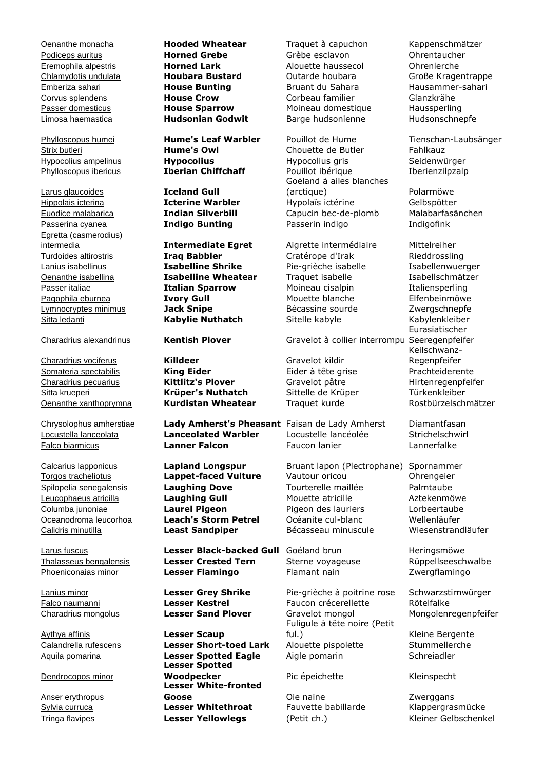Larus glaucoides **Iceland Gull** Egretta (casmerodius) Lymnocryptes minimus **Jack Snipe** Bécassine sourde Zwergschnepfe Sitta ledanti **Kabylie Nuthatch** Sitelle kabyle

Somateria spectabilis **King Eider King Eider** Eider à tête grise Prachteiderente Charadrius pecuarius **Kittlitz's Plover** Gravelot pâtre Hirtenregenpfeifer Sitta krueperi **Krüper's Nuthatch** Sittelle de Krüper Türkenkleiber **Oenanthe xanthoprymna Kurdistan Wheatear** Traquet kurde Rostbürzelschmätzer

Aythya affinis **Lesser Scaup**

Dendrocopos minor

Anser erythropus

Turdoides altirostris **Iraq Babbler Cratérope d'Irak Rieddrossling** Lanius isabellinus **Isabelline Shrike** Pie-grièche isabelle Isabellenwuerger Oenanthe isabellina **Isabelline Wheatear** Traquet isabelle Isabellschmätzer Passer italiae **Italian Sparrow** Moineau cisalpin Italiensperling Pagophila eburnea **Ivory Gull** Mouette blanche Elfenbeinmöwe

Charadrius vociferus **Killdeer** Gravelot kildir

Chrysolophus amherstiae **Lady Amherst's Pheasant** Faisan de Lady Amherst Diamantfasan Locustella lanceolata **Lanceolated Warbler** Locustelle lancéolée Strichelschwirl Falco biarmicus **Lanner Falcon** Faucon lanier Lannerfalke

Larus fuscus **Lesser Black-backed Gull** Goéland brun Heringsmöwe Thalasseus bengalensis **Lesser Crested Tern** Sterne voyageuse Rüppellseeschwalbe Phoeniconaias minor **Lesser Flamingo** Flamant nain Zwergflamingo

Aquila pomarina **Lesser Spotted Eagle** Aigle pomarin Schreiadler **Lesser Spotted Woodpecker** Pic épeichette Kleinspecht **Lesser White-fronted Goose** Coie naine Coienaine Coies and The Supergans<br> **Lesser Whitethroat** Coie Fauvette babillarde Coienaine Chapperara Sylvia curruca **Lesser Whitethroat** Fauvette babillarde Klappergrasmücke Tringa flavipes **Lesser Yellowlegs** (Petit ch.) Kleiner Gelbschenkel

Oenanthe monacha **Hooded Wheatear** Traquet à capuchon Kappenschmätzer Podiceps auritus **Horned Grebe** Grèbe esclavon Ohrentaucher Eremophila alpestris **Horned Lark** Alouette haussecol Ohrenlerche Chlamydotis undulata **Houbara Bustard** Outarde houbara Große Kragentrappe Emberiza sahari **House Bunting** Bruant du Sahara Hausammer-sahari Corvus splendens **House Crow** Corbeau familier Glanzkrähe Passer domesticus **House Sparrow** Moineau domestique Haussperling Limosa haemastica **Hudsonian Godwit** Barge hudsonienne Hudsonschnepfe

Strix butleri **Hume's Owl** Chouette de Butler Fahlkauz Hypocolius ampelinus **Hypocolius** Hypocolius gris Seidenwürger Phylloscopus ibericus **Iberian Chiffchaff** Pouillot ibérique **Iberienzilpzalp** Goéland à ailes blanches (arctique) Polarmöwe Hippolais icterina **Icterine Warbler** Hypolaïs ictérine Gelbspötter Euodice malabarica **Indian Silverbill** Capucin bec-de-plomb Malabarfasänchen Passerina cyanea **Indigo Bunting** Passerin indigo Indigofink

intermedia **Intermediate Egret** Aigrette intermédiaire Mittelreiher

Charadrius alexandrinus **Kentish Plover** Gravelot à collier interrompu Seeregenpfeifer

Calcarius lapponicus **Lapland Longspur** Bruant lapon (Plectrophane) Spornammer Torgos tracheliotus **Lappet-faced Vulture** Vautour oricou Ohrengeier Spilopelia senegalensis **Laughing Dove** Tourterelle maillée Palmtaube Leucophaeus atricilla **Laughing Gull** Mouette atricille Aztekenmöwe Columba junoniae **Laurel Pigeon** Pigeon des lauriers Lorbeertaube Oceanodroma leucorhoa **Leach's Storm Petrel** Océanite cul-blanc Wellenläufer Calidris minutilla **Least Sandpiper** Bécasseau minuscule Wiesenstrandläufer

Lanius minor **Lesser Grey Shrike** Pie-grièche à poitrine rose Schwarzstirnwürger Falco naumanni **Lesser Kestrel** Faucon crécerellette Rötelfalke Charadrius mongolus **Lesser Sand Plover** Gravelot mongol Mongolenregenpfeifer Fuligule à tête noire (Petit ful.) Kleine Bergente Calandrella rufescens **Lesser Short-toed Lark** Alouette pispolette Stummellerche

Phylloscopus humei **Hume's Leaf Warbler** Pouillot de Hume Tienschan-Laubsänger

Eurasiatischer Keilschwanz-Regenpfeifer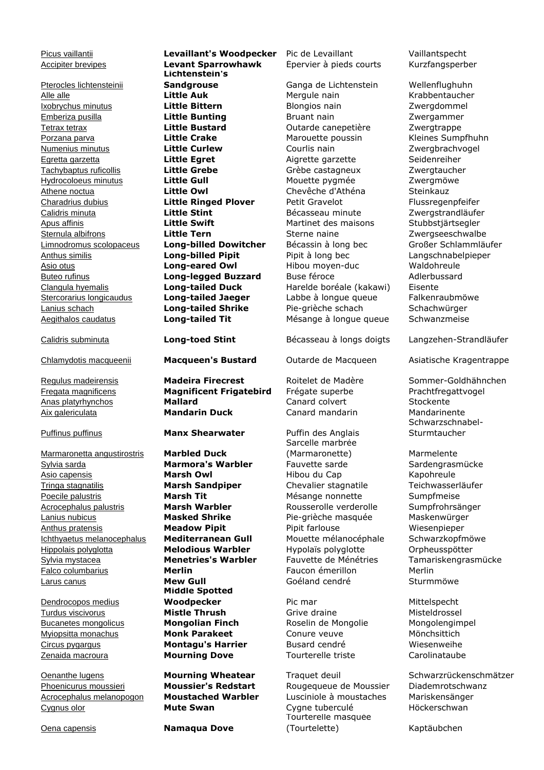Pterocles lichtensteinii

Marmaronetta angustirostris **Marbled Duck** Sylvia sarda **Marmora's Warbler** Fauvette sarde Sardengrasmücke Asio capensis **Marsh Owl** Hibou du Cap Kapohreule Tringa stagnatilis **Marsh Sandpiper** Chevalier stagnatile Teichwasserläufer Poecile palustris **Marsh Tit** Mesange nonnette Sumpfmeise Acrocephalus palustris **Marsh Warbler** Rousserolle verderolle Sumpfrohrsänger Lanius nubicus **Masked Shrike** Pie-grièche masquée Maskenwürger Anthus pratensis **Meadow Pipit** Pipit farlouse Wiesenpieper Ichthyaetus melanocephalus **Mediterranean Gull** Mouette mélanocéphale Schwarzkopfmöwe Hippolais polyglotta **Melodious Warbler** Hypolaïs polyglotte Orpheusspötter Sylvia mystacea **Menetries's Warbler** Fauvette de Ménétries Tamariskengrasmücke Falco columbarius **Merlin** Faucon émerillon Merlin

Dendrocopos medius

Phoenicurus moussieri **Moussier's Redstart** Rougequeue de Moussier Diademrotschwanz Acrocephalus melanopogon **Moustached Warbler** Lusciniole à moustaches Mariskensänger Cygnus olor **Mute Swan** Cygne tuberculé Höckerschwan

Accipiter brevipes **Levant Sparrowhawk** Épervier à pieds courts Kurzfangsperber **Lichtenstein's Sandgrouse** Ganga de Lichtenstein Wellenflughuhn Alle alle **Little Auk** Mergule nain Krabbentaucher Ixobrychus minutus **Little Bittern** Blongios nain Zwergdommel Emberiza pusilla **Little Bunting** Bruant nain Zwergammer Tetrax tetrax **Little Bustard** Outarde canepetière Zwergtrappe Porzana parva **Little Crake** Marouette poussin Kleines Sumpfhuhn Numenius minutus **Little Curlew** Courlis nain Zwergbrachvogel Egretta garzetta **Little Egret** Aigrette garzette Seidenreiher Tachybaptus ruficollis **Little Grebe** Grèbe castagneux Zwergtaucher Hydrocoloeus minutus **Little Gull** Mouette pygmée Zwergmöwe Athene noctua **Little Owl** Chevêche d'Athéna Steinkauz Charadrius dubius **Little Ringed Plover** Petit Gravelot Flussregenpfeifer Calidris minuta **Little Stint** Bécasseau minute Zwergstrandläufer Apus affinis **Little Swift** Martinet des maisons Stubbstjärtsegler Sternula albifrons **Little Tern** Sterne naine Zwergseeschwalbe Limnodromus scolopaceus **Long-billed Dowitcher** Bécassin à long bec Großer Schlammläufer Anthus similis **Long-billed Pipit** Pipit à long bec Langschnabelpieper Asio otus **Long-eared Owl** Hibou moyen-duc Waldohreule Buteo rufinus **Long-legged Buzzard** Buse féroce Adlerbussard Clangula hyemalis **Long-tailed Duck** Harelde boréale (kakawi) Eisente Stercorarius longicaudus **Long-tailed Jaeger** Labbe à longue queue Falkenraubmöwe Lanius schach **Long-tailed Shrike** Pie-grièche schach Schachwürger Aegithalos caudatus **Long-tailed Tit** Mésange à longue queue Schwanzmeise

Regulus madeirensis **Madeira Firecrest** Roitelet de Madère Sommer-Goldhähnchen<br>Fregata magnificens **Magnificent Frigatebird** Frégate superbe Prachtfregattvogel Fregata magnificens **Magnificent Frigatebird** Frégate superbe Prachtfregattvogel Anas platyrhynchos **Mallard** Canard colvert Stockente Aix galericulata **Mandarin Duck** Canard mandarin Mandarinente

Puffinus puffinus **Manx Shearwater** Puffin des Anglais

Larus canus **Mew Gull** Goéland cendré Sturmmöwe **Middle Spotted Woodpecker** Pic mar Pic mar Mittelspecht Turdus viscivorus **Mistle Thrush** Grive draine Misteldrossel Bucanetes mongolicus **Mongolian Finch** Roselin de Mongolie Mongolengimpel Myiopsitta monachus **Monk Parakeet** Conure veuve Mönchsittich Circus pygargus **Montagu's Harrier** Busard cendré Wiesenweihe Zenaida macroura **Mourning Dove** Tourterelle triste Carolinataube

Oena capensis **Namaqua Dove**

Picus vaillantii **Levaillant's Woodpecker** Pic de Levaillant **Vaillantspecht** 

Calidris subminuta **Long-toed Stint** Bécasseau à longs doigts Langzehen-Strandläufer

Sarcelle marbrée (Marmaronette) Marmelente

Tourterelle masquée (Tourtelette) Kaptäubchen

Chlamydotis macqueenii **Macqueen's Bustard** Outarde de Macqueen Asiatische Kragentrappe

Schwarzschnabel-Sturmtaucher

Oenanthe lugens **Mourning Wheatear** Traquet deuil Schwarzrückenschmätzer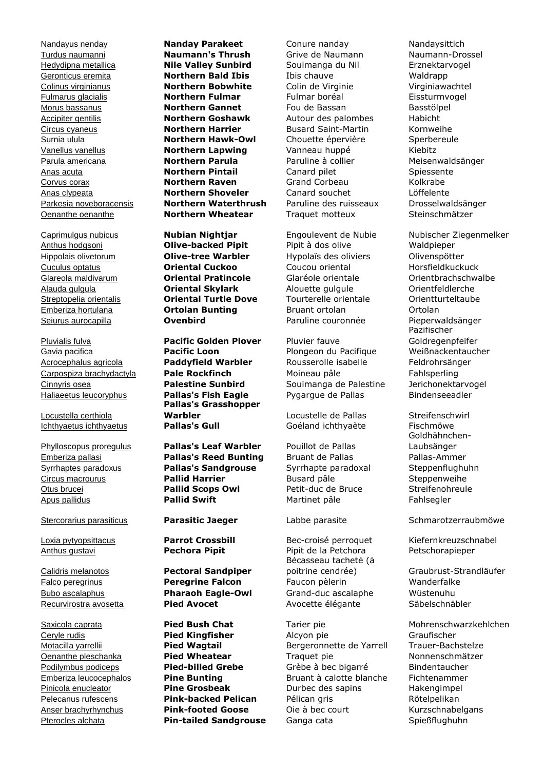Locustella certhiola

Nandayus nenday **Nanday Parakeet** Conure nanday Nandaysittich Turdus naumanni **Naumann's Thrush** Grive de Naumann Naumann-Drossel Hedydipna metallica **Nile Valley Sunbird** Souimanga du Nil Erznektarvogel Geronticus eremita **Northern Bald Ibis** Ibis chauve Waldrapp Colinus virginianus **Northern Bobwhite** Colin de Virginie Virginiawachtel Fulmarus glacialis **Northern Fulmar** Fulmar boréal Eissturmvogel Morus bassanus **Northern Gannet** Fou de Bassan Basstölpel Accipiter gentilis **Northern Goshawk** Autour des palombes Habicht Circus cyaneus **Northern Harrier** Busard Saint-Martin Kornweihe Surnia ulula **Northern Hawk-Owl** Chouette épervière Sperbereule Vanellus vanellus **Northern Lapwing** Vanneau huppé Kiebitz Parula americana **Northern Parula** Paruline à collier Meisenwaldsänger Anas acuta **Northern Pintail** Canard pilet Spiessente Corvus corax **Northern Raven** Grand Corbeau Kolkrabe Anas clypeata **Northern Shoveler** Canard souchet Löffelente Parkesia noveboracensis **Northern Waterthrush** Paruline des ruisseaux Drosselwaldsänger Oenanthe oenanthe **Northern Wheatear** Traquet motteux Steinschmätzer

Anthus hodgsoni **Olive-backed Pipit** Pipit à dos olive Waldpieper Hippolais olivetorum **Olive-tree Warbler** Hypolaïs des oliviers Olivenspötter Cuculus optatus **Oriental Cuckoo** Coucou oriental Horsfieldkuckuck Glareola maldivarum **Oriental Pratincole** Glaréole orientale Orientbrachschwalbe Alauda gulgula **Oriental Skylark** Alouette gulgule Orientfeldlerche Streptopelia orientalis **Oriental Turtle Dove** Tourterelle orientale Orientturteltaube Emberiza hortulana **Ortolan Bunting** Bruant ortolan Ortolan Seiurus aurocapilla **Ovenbird** Paruline couronnée Pieperwaldsänger

Pluvialis fulva **Pacific Golden Plover** Pluvier fauve **Pallas's Grasshopper Warbler Warbler** Locustelle de Pallas Streifenschwirl Ichthyaetus ichthyaetus **Pallas's Gull** Goéland ichthyaète Fischmöwe

Phylloscopus proregulus **Pallas's Leaf Warbler** Pouillot de Pallas Emberiza pallasi **Pallas's Reed Bunting** Bruant de Pallas Pallas-Ammer Syrrhaptes paradoxus **Pallas's Sandgrouse** Syrrhapte paradoxal Steppenflughuhn Circus macrourus **Pallid Harrier** Busard pâle Steppenweihe Otus brucei **Pallid Scops Owl** Petit-duc de Bruce Streifenohreule Apus pallidus **Pallid Swift** Martinet pâle Fahlsegler

Calidris melanotos **Pectoral Sandpiper**

Gavia pacifica **Pacific Loon** Plongeon du Pacifique Weißnackentaucher Acrocephalus agricola **Paddyfield Warbler** Rousserolle isabelle Feldrohrsänger Carpospiza brachydactyla **Pale Rockfinch** Moineau pâle Fahlsperling Cinnyris osea **Palestine Sunbird** Souimanga de Palestine Jerichonektarvogel Haliaeetus leucoryphus **Pallas's Fish Eagle** Pygargue de Pallas Bindenseeadler

Anthus gustavi **Pechora Pipit** Pipit de la Petchora Petschorapieper Bécasseau tacheté (à Falco peregrinus **Peregrine Falcon** Faucon pèlerin Wanderfalke Bubo ascalaphus **Pharaoh Eagle-Owl** Grand-duc ascalaphe Wüstenuhu Recurvirostra avosetta **Pied Avocet Avocette élégante** Säbelschnäbler

Ceryle rudis **Pied Kingfisher** Alcyon pie Graufischer Motacilla yarrellii **Pied Wagtail** Bergeronnette de Yarrell **Oenanthe pleschanka Pied Wheatear Prophetic and Traquet pie Prophetic Monnenschmätzer Prophetic Position Prophetic Prophetic Position Prophetic Position Prophetic Prophetic Prophetic Prophetic Prophetic Prophetic** Podilymbus podiceps **Pied-billed Grebe** Grèbe à bec bigarré Bindentaucher Emberiza leucocephalos **Pine Bunting** Bruant à calotte blanche Fichtenammer Pinicola enucleator **Pine Grosbeak** Durbec des sapins Hakengimpel Pelecanus rufescens **Pink-backed Pelican** Pélican gris Rötelpelikan Anser brachyrhynchus **Pink-footed Goose** Oie à bec court **Kurzschnabelgans** Pterocles alchata **Pin-tailed Sandgrouse** Ganga cata Spießflughuhn

Caprimulgus nubicus **Nubian Nightjar** Engoulevent de Nubie Nubischer Ziegenmelker Pazifischer Goldregenpfeifer

> Goldhähnchen-Laubsänger

Stercorarius parasiticus **Parasitic Jaeger** Labbe parasite Schmarotzerraubmöwe

Loxia pytyopsittacus **Parrot Crossbill** Bec-croisé perroquet Kiefernkreuzschnabel

poitrine cendrée) Graubrust-Strandläufer

Saxicola caprata **Pied Bush Chat** Tarier pie Mohrenschwarzkehlchen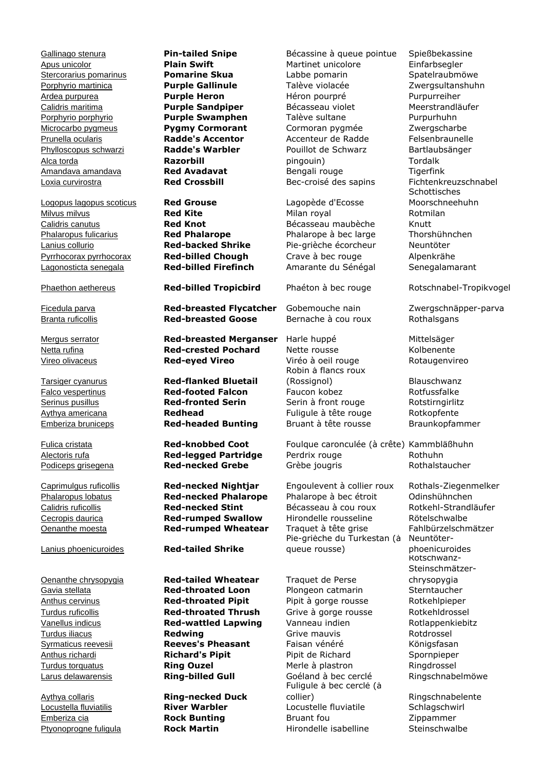Logopus lagopus scoticus **Red Grouse** Lagopède d'Ecosse **Milvus milvus Community Community Red Kite** Milan royal Rotmilan Calidris canutus **Red Knot** Bécasseau maubèche Knutt Phalaropus fulicarius **Red Phalarope** Phalarope à bec large Thorshühnchen Lanius collurio **Red-backed Shrike** Pie-grièche écorcheur Neuntöter Pyrrhocorax pyrrhocorax **Red-billed Chough** Crave à bec rouge Alpenkrähe Lagonosticta senegala **Red-billed Firefinch** Amarante du Sénégal Senegalamarant

Lanius phoenicuroides **Red-tailed Shrike**

Ficedula parva **Red-breasted Flycatcher** Gobemouche nain Zwergschnäpper-parva Branta ruficollis **Red-breasted Goose** Bernache à cou roux Rothalsgans

Mergus serrator **Red-breasted Merganser** Harle huppé Mittelsäger Netta rufina **Red-crested Pochard** Nette rousse Kolbenente Vireo olivaceus **Red-eyed Vireo** Viréo à oeil rouge Rotaugenvireo

Tarsiger cyanurus **Red-flanked Bluetail** Falco vespertinus **Red-footed Falcon** Faucon kobez Rotfussfalke **Serinus pusillus <b>Red-fronted Serin** Serin à front rouge Rotstirngirlitz Aythya americana **Redhead Redhead** Fuliqule à tête rouge Rotkopfente Emberiza bruniceps **Red-headed Bunting** Bruant à tête rousse Braunkopfammer

**Calidris ruficollis Red-necked Stint** Bécasseau à cou roux

Oenanthe chrysopygia **Red-tailed Wheatear** Traquet de Perse Gavia stellata **Red-throated Loon** Plongeon catmarin Sterntaucher Anthus cervinus **Red-throated Pipit** Pipit à gorge rousse Rotkehlpieper Turdus ruficollis **Red-throated Thrush** Grive à gorge rousse Rotkehldrossel Vanellus indicus **Red-wattled Lapwing** Vanneau indien Rotlappenkiebitz **Turdus iliacus Community Community Community Community Community Community Community Community Community Community** Syrmaticus reevesii **Reeves's Pheasant** Faisan vénéré **Königsfasan** Anthus richardi **Richard's Pipit** Pipit de Richard Spornpieper **Turdus torquatus <b>Ring Ouzel** Merle à plastron Ringdrossel Larus delawarensis **Ring-billed Gull** Goéland à bec cerclé Ringschnabelmöwe

Aythya collaris **Ring-necked Duck**

Gallinago stenura **Pin-tailed Snipe** Bécassine à queue pointue Spießbekassine Apus unicolor **Plain Swift** Martinet unicolore Einfarbsegler Stercorarius pomarinus **Pomarine Skua** Labbe pomarin Spatelraubmöwe Porphyrio martinica **Purple Gallinule** Talève violacée Zwergsultanshuhn Ardea purpurea **Purple Heron** Héron pourpré Purpurreiher Calidris maritima **Purple Sandpiper** Bécasseau violet Meerstrandläufer Porphyrio porphyrio **Purple Swamphen** Talève sultane Purpurhuhn Microcarbo pygmeus **Pygmy Cormorant** Cormoran pygmée Zwergscharbe Prunella ocularis **Radde's Accentor** Accenteur de Radde Felsenbraunelle Phylloscopus schwarzi **Radde's Warbler** Pouillot de Schwarz Bartlaubsänger Alca torda **Razorbill** pingouin) Tordalk Amandava amandava **Red Avadavat** Bengali rouge Tigerfink Loxia curvirostra **Red Crossbill** Bec-croisé des sapins Fichtenkreuzschnabel

Robin à flancs roux (Rossignol) Blauschwanz

Fulica cristata **Red-knobbed Coot** Foulque caronculée (à crête) Kammbläßhuhn Alectoris rufa **Red-legged Partridge** Perdrix rouge Rothuhn Podiceps grisegena **Red-necked Grebe** Grèbe jougris Rothalstaucher

Caprimulgus ruficollis **Red-necked Nightjar** Engoulevent à collier roux Rothals-Ziegenmelker Phalaropus lobatus **Red-necked Phalarope** Phalarope à bec étroit Odinshühnchen Cecropis daurica **Red-rumped Swallow** Hirondelle rousseline Rötelschwalbe Oenanthe moesta **Red-rumped Wheatear** Traquet à tête grise Fahlbürzelschmätzer Pie-grièche du Turkestan (à queue rousse)

Fuligule à bec cerclé (à collier) Ringschnabelente Locustella fluviatilis **River Warbler** Locustelle fluviatile Schlagschwirl Emberiza cia **Rock Bunting** Bruant fou Zippammer Ptyonoprogne fuligula **Rock Martin** Hirondelle isabelline Steinschwalbe

Schottisches Moorschneehuhn

Phaethon aethereus **Red-billed Tropicbird** Phaéton à bec rouge Rotschnabel-Tropikvogel

Neuntöterphoenicuroides Rotschwanz-Steinschmätzerchrysopygia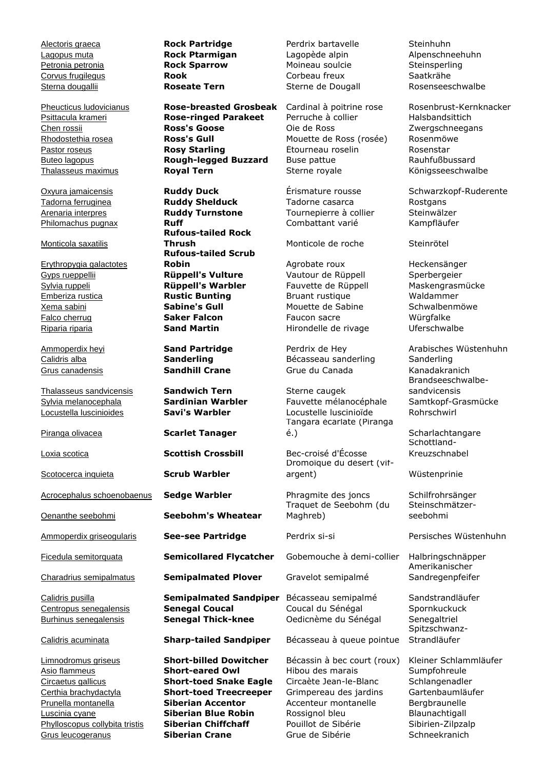Monticola saxatilis

Erythropygia galactotes

**Thalasseus sandvicensis Sandwich Tern** Sterne caugek

Psittacula krameri **Rose-ringed Parakeet** Perruche à collier Halsbandsittich Chen rossii **Ross's Goose** Oie de Ross Zwergschneegans Rhodostethia rosea **Ross's Gull** Mouette de Ross (rosée) Rosenmöwe Pastor roseus **Rosy Starling** Étourneau roselin Rosenstar Buteo lagopus **Rough-legged Buzzard** Buse pattue Rauhfußbussard Thalasseus maximus **Royal Tern** Sterne royale Königsseeschwalbe

Tadorna ferruginea **Ruddy Shelduck** Tadorne casarca Rostgans Arenaria interpres **Ruddy Turnstone** Tournepierre à collier Steinwälzer Philomachus pugnax **Ruff Ruff** Combattant varié Kampfläufer **Rufous-tailed Rock Thrush** Monticole de roche Steinrötel **Rufous-tailed Scrub Robin** Agrobate roux Heckensänger Gyps rueppellii **Rüppell's Vulture** Vautour de Rüppell Sperbergeier Sylvia ruppeli **Rüppell's Warbler** Fauvette de Rüppell Maskengrasmücke Emberiza rustica **Rustic Bunting** Bruant rustique Waldammer Xema sabini **Sabine's Gull** Mouette de Sabine Schwalbenmöwe Falco cherrug **Saker Falcon** Faucon sacre Würgfalke Riparia riparia **Sand Martin** Hirondelle de rivage Uferschwalbe

Piranga olivacea **Scarlet Tanager**

Scotocerca inquieta **Scrub Warbler**

Oenanthe seebohmi **Seebohm's Wheatear**

Ficedula semitorquata **Semicollared Flycatcher** Gobemouche à demi-collier Halbringschnäpper

Charadrius semipalmatus **Semipalmated Plover** Gravelot semipalmé

Calidris pusilla **Semipalmated Sandpiper** Bécasseau semipalmé Sandstrandläufer Centropus senegalensis **Senegal Coucal** Coucal du Sénégal Spornkuckuck

Limnodromus griseus **Short-billed Dowitcher** Bécassin à bec court (roux) Kleiner Schlammläufer Grus leucogeranus **Siberian Crane** Grue de Sibérie Schneekranich

Alectoris graeca **Rock Partridge** Perdrix bartavelle Steinhuhn Lagopus muta **Rock Ptarmigan** Lagopède alpin Alpenschneehuhn Petronia petronia **Rock Sparrow** Moineau soulcie Steinsperling Sterna dougallii **Roseate Tern** Sterne de Dougall

Calidris alba **Sanderling** Bécasseau sanderling Sanderling Grus canadensis **Sandhill Crane** Grue du Canada Kanadakranich

Sylvia melanocephala **Sardinian Warbler** Fauvette mélanocéphale Samtkopf-Grasmücke Locustella luscinioides **Savi's Warbler** Locustelle luscinioïde Rohrschwirl Tangara écarlate (Piranga é.) Scharlachtangare

Loxia scotica **Scottish Crossbill** Bec-croisé d'Écosse Dromoïque du désert (vifargent) Wüstenprinie

Acrocephalus schoenobaenus **Sedge Warbler** Phragmite des joncs Schilfrohrsänger Traquet de Seebohm (du Maghreb)

Burhinus senegalensis **Senegal Thick-knee** Oedicnème du Sénégal Senegaltriel

Calidris acuminata **Sharp-tailed Sandpiper** Bécasseau à queue pointue

Asio flammeus **Short-eared Owl** Hibou des marais Sumpfohreule Circaetus gallicus **Short-toed Snake Eagle** Circaète Jean-le-Blanc Schlangenadler Certhia brachydactyla **Short-toed Treecreeper** Grimpereau des jardins Gartenbaumläufer Prunella montanella **Siberian Accentor** Accenteur montanelle Bergbraunelle Luscinia cyane **Siberian Blue Robin** Rossignol bleu Blaunachtigall Phylloscopus collybita tristis **Siberian Chiffchaff** Pouillot de Sibérie Sibirien-Zilpzalp

Corvus frugilegus **Rook** Corbeau freux Saatkrähe

Pheucticus ludovicianus **Rose-breasted Grosbeak** Cardinal à poitrine rose Rosenbrust-Kernknacker

Oxyura jamaicensis **Ruddy Duck** Érismature rousse Schwarzkopf-Ruderente

Ammoperdix heyi **Sand Partridge** Perdrix de Hey Arabisches Wüstenhuhn Brandseeschwalbesandvicensis

> Schottland-Kreuzschnabel

Steinschmätzerseebohmi

Ammoperdix griseogularis **See-see Partridge** Perdrix si-si Persisches Wüstenhuhn

Amerikanischer Sandregenpfeifer

Spitzschwanz-Strandläufer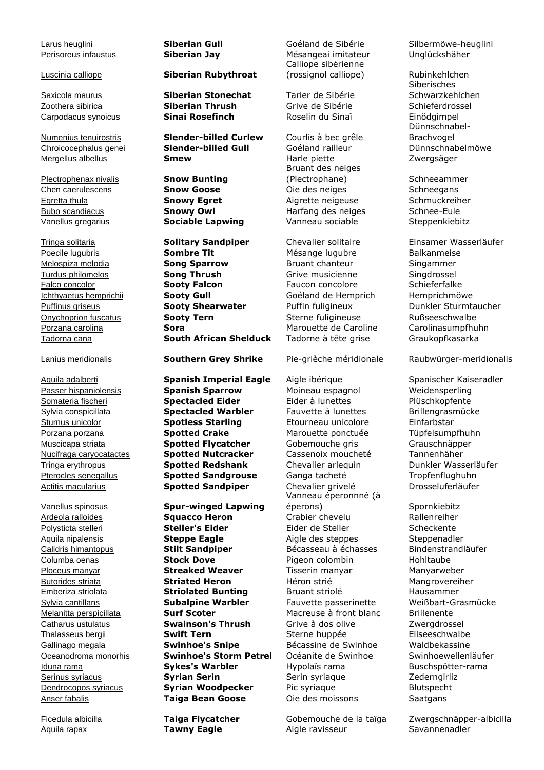Plectrophenax nivalis **Snow Bunting**

# Luscinia calliope **Siberian Rubythroat**

Saxicola maurus **Siberian Stonechat** Tarier de Sibérie Zoothera sibirica **Siberian Thrush** Grive de Sibérie Schieferdrossel Carpodacus synoicus **Sinai Rosefinch** Roselin du Sinaï Einödgimpel

Numenius tenuirostris **Slender-billed Curlew** Courlis à bec grêle Chroicocephalus genei **Slender-billed Gull** Goéland railleur Dünnschnabelmöwe Mergellus albellus **Smew** Harle piette Zwergsäger

Vanellus gregarius **Sociable Lapwing** Vanneau sociable Steppenkiebitz

Tringa solitaria **Solitary Sandpiper** Chevalier solitaire Einsamer Wasserläufer Poecile lugubris **Sombre Tit** Mésange lugubre Balkanmeise Melospiza melodia **Song Sparrow** Bruant chanteur Singammer Turdus philomelos **Song Thrush** Grive musicienne Singdrossel Falco concolor **Sooty Falcon** Faucon concolore Schieferfalke Ichthyaetus hemprichii **Sooty Gull** Goéland de Hemprich Hemprichmöwe Puffinus griseus **Sooty Shearwater** Puffin fuligineux Dunkler Sturmtaucher Onychoprion fuscatus **Sooty Tern** Sterne fuligineuse Rußseeschwalbe Porzana carolina **Sora** Marouette de Caroline Carolinasumpfhuhn

Aquila adalberti **Spanish Imperial Eagle** Aigle ibérique Spanischer Kaiseradler Passer hispaniolensis **Spanish Sparrow** Moineau espagnol Weidensperling Somateria fischeri **Spectacled Eider** Eider à lunettes Plüschkopfente Sylvia conspicillata **Spectacled Warbler** Fauvette à lunettes Brillengrasmücke Sturnus unicolor **Spotless Starling** Étourneau unicolore Einfarbstar Porzana porzana **Spotted Crake** Marouette ponctuée Tüpfelsumpfhuhn Muscicapa striata **Spotted Flycatcher** Gobemouche gris Grauschnäpper Nucifraga caryocatactes **Spotted Nutcracker** Cassenoix moucheté Tannenhäher Tringa erythropus **Spotted Redshank** Chevalier arlequin Dunkler Wasserläufer Pterocles senegallus **Spotted Sandgrouse** Ganga tacheté Tropfenflughuhn Actitis macularius **Spotted Sandpiper** Chevalier grivelé Drosseluferläufer

Vanellus spinosus **Spur-winged Lapwing** Ardeola ralloides **Squacco Heron** Crabier chevelu Rallenreiher Polysticta stelleri **Steller's Eider** Eider de Steller Scheckente Aquila nipalensis **Steppe Eagle** Aigle des steppes Steppenadler Calidris himantopus **Stilt Sandpiper** Bécasseau à échasses Bindenstrandläufer Columba oenas **Stock Dove** Pigeon colombin Hohltaube Ploceus manyar **Streaked Weaver** Tisserin manyar Manyarweber Butorides striata **Striated Heron** Héron strié Mangrovereiher Emberiza striolata **Striolated Bunting** Bruant striolé Hausammer Sylvia cantillans **Subalpine Warbler** Fauvette passerinette Weißbart-Grasmücke Melanitta perspicillata **Surf Scoter** Macreuse à front blanc Brillenente Catharus ustulatus **Swainson's Thrush** Grive à dos olive **Zwergdrossel** Thalasseus bergii **Swift Tern** Sterne huppée Eilseeschwalbe Gallinago megala **Swinhoe's Snipe** Bécassine de Swinhoe Waldbekassine Oceanodroma monorhis **Swinhoe's Storm Petrel** Océanite de Swinhoe Swinhoewellenläufer Iduna rama **Sykes's Warbler** Hypolaïs rama Buschspötter-rama Serinus syriacus **Syrian Serin** Serin Serin syriaque Zederngirliz Dendrocopos syriacus **Syrian Woodpecker** Pic syriaque Blutspecht Anser fabalis **Taiga Bean Goose** Oie des moissons Saatgans

Perisoreus infaustus **Siberian Jay** Mésangeai imitateur Unglückshäher Calliope sibérienne (rossignol calliope) Rubinkehlchen

Bruant des neiges (Plectrophane) Schneeammer Chen caerulescens **Snow Goose** Oie des neiges Schneegans Egretta thula **Snowy Egret** Aigrette neigeuse Schmuckreiher Bubo scandiacus **Snowy Owl** Harfang des neiges Schnee-Eule

Tadorna cana **South African Shelduck** Tadorne à tête grise Graukopfkasarka

Vanneau éperonnné (à éperons) Spornkiebitz

Ficedula albicilla **Taiga Flycatcher** Gobemouche de la taïga Zwergschnäpper-albicilla Aquila rapax **Tawny Eagle** Aigle ravisseur Savannenadler

Larus heuglini **Siberian Gull** Goéland de Sibérie Silbermöwe-heuglini

Siberisches Schwarzkehlchen Dünnschnabel-Brachvogel

Lanius meridionalis **Southern Grey Shrike** Pie-grièche méridionale Raubwürger-meridionalis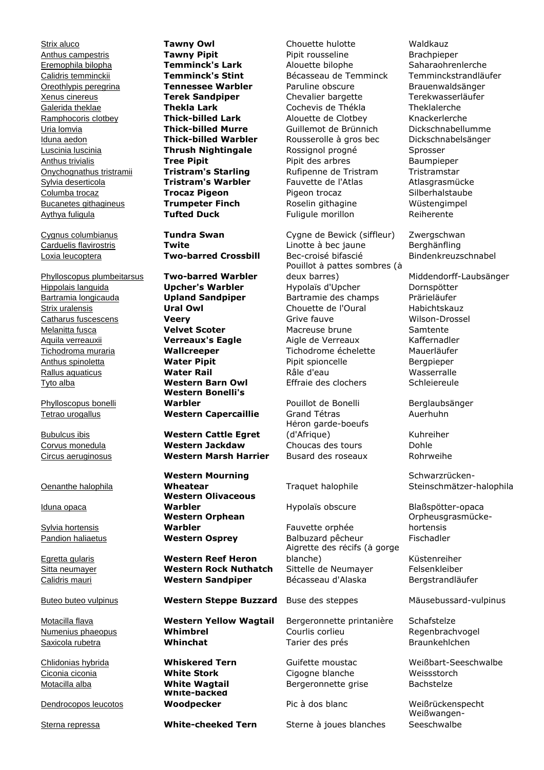Aythya fuligula **Tufted Duck** Fuligule morillon Reiherente

Phylloscopus plumbeitarsus **Two-barred Warbler** Tyto alba **Western Barn Owl** Effraie des clochers Schleiereule

Phylloscopus bonelli

### Oenanthe halophila

Iduna opaca

Sylvia hortensis

Dendrocopos leucotos

**Western Bonelli's Warbler** Pouillot de Bonelli Berglaubsänger Tetrao urogallus **Western Capercaillie** Grand Tétras **Auerhuhn** 

Bubulcus ibis **Western Cattle Egret** Corvus monedula **Western Jackdaw** Choucas des tours Dohle Circus aeruginosus **Western Marsh Harrier** Busard des roseaux Rohrweihe

> **Western Mourning Wheatear** Traquet halophile **Western Olivaceous Warbler Hypolaïs obscure** Blaßspötter-opaca **Western Orphean Warbler** Fauvette orphée

Egretta gularis **Western Reef Heron**

Buteo buteo vulpinus **Western Steppe Buzzard** Buse des steppes Mäusebussard-vulpinus

Motacilla flava **Western Yellow Wagtail** Bergeronnette printanière Schafstelze

**White-backed** 

Strix aluco **Tawny Owl** Chouette hulotte Waldkauz Anthus campestris **Tawny Pipit** Pipit rousseline Brachpieper Eremophila bilopha **Temminck's Lark** Alouette bilophe Saharaohrenlerche **Calidris temminckii <b>Temminck's Stint** Bécasseau de Temminck Temminckstrandläufer<br>Oreothlypis peregrina **Tennessee Warbler** Paruline obscure Brauenwaldsänger Oreothlypis peregrina **Tennessee Warbler** Paruline obscure Brauenwaldsänger Xenus cinereus **Terek Sandpiper** Chevalier bargette Terekwasserläufer Galerida theklae **Thekla Lark** Cochevis de Thékla Theklalerche Ramphocoris clotbey **Thick-billed Lark** Alouette de Clotbey Knackerlerche Uria lomvia **Thick-billed Murre** Guillemot de Brünnich Dickschnabellumme Iduna aedon **Thick-billed Warbler** Rousserolle à gros bec Dickschnabelsänger Luscinia luscinia **Thrush Nightingale** Rossignol progné Sprosser Anthus trivialis **Tree Pipit** Pipit des arbres Baumpieper Onychognathus tristramii **Tristram's Starling** Rufipenne de Tristram Tristramstar Sylvia deserticola **Tristram's Warbler** Fauvette de l'Atlas **Atlasgrasmücke** Columba trocaz **Trocaz Pigeon** Pigeon trocaz Silberhalstaube Bucanetes githagineus **Trumpeter Finch** Roselin githagine Wüstengimpel

Cygnus columbianus **Tundra Swan** Cygne de Bewick (siffleur) Zwergschwan Carduelis flavirostris **Twite** Linotte à bec jaune Berghänfling Loxia leucoptera **Two-barred Crossbill** Bec-croisé bifascié Bindenkreuzschnabel Pouillot à pattes sombres (à deux barres) Middendorff-Laubsänger Hippolais languida **Upcher's Warbler** Hypolaïs d'Upcher Dornspötter Bartramia longicauda **Upland Sandpiper** Bartramie des champs Prärieläufer Strix uralensis **Ural Owl** Chouette de l'Oural Habichtskauz Catharus fuscescens **Veery Veery** Grive fauve **Wilson-Drossel** Melanitta fusca **Velvet Scoter** Macreuse brune Samtente Aquila verreauxii **Verreaux's Eagle** Aigle de Verreaux Kaffernadler Tichodroma muraria **Wallcreeper** Tichodrome échelette Mauerläufer Anthus spinoletta **Water Pipit** Pipit spioncelle Bergpieper Rallus aquaticus **Water Rail Water Rail** Râle d'eau **Wasserralle** 

> Héron garde-boeufs (d'Afrique) Kuhreiher

Pandion haliaetus **Western Osprey** Balbuzard pêcheur Fischadler Aigrette des récifs (à gorge blanche) Küstenreiher Sitta neumayer **Western Rock Nuthatch** Sittelle de Neumayer Felsenkleiber Calidris mauri **Western Sandpiper** Bécasseau d'Alaska Bergstrandläufer

Numenius phaeopus **Whimbrel** Courlis corlieu Regenbrachvogel Saxicola rubetra **Whinchat** Tarier des prés Braunkehlchen

Ciconia ciconia **White Stork** Cigogne blanche Weissstorch Motacilla alba **White Wagtail** Bergeronnette grise Bachstelze

Sterna repressa **White-cheeked Tern** Sterne à joues blanches

Schwarzrücken-Steinschmätzer-halophila

Orpheusgrasmückehortensis

Chlidonias hybrida **Whiskered Tern** Guifette moustac Weißbart-Seeschwalbe

**Woodpecker** Pic à dos blanc Weißrückenspecht Weißwangen-**Seeschwalbe**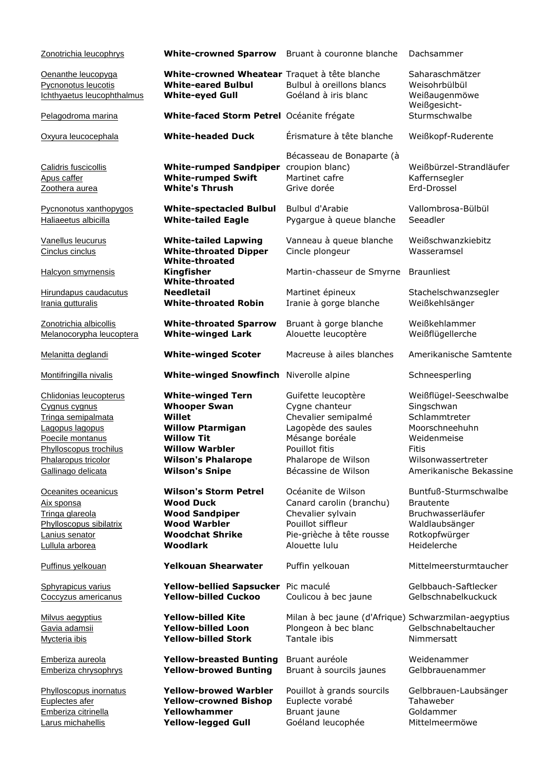| Zonotrichia leucophrys                                                                                                                                                      | White-crowned Sparrow Bruant à couronne blanche                                                                                                                                          |                                                                                                                                                                        | Dachsammer                                                                                                                                              |
|-----------------------------------------------------------------------------------------------------------------------------------------------------------------------------|------------------------------------------------------------------------------------------------------------------------------------------------------------------------------------------|------------------------------------------------------------------------------------------------------------------------------------------------------------------------|---------------------------------------------------------------------------------------------------------------------------------------------------------|
| Oenanthe leucopyga<br>Pycnonotus leucotis<br>Ichthyaetus leucophthalmus                                                                                                     | White-crowned Wheatear Traquet à tête blanche<br><b>White-eared Bulbul</b><br><b>White-eyed Gull</b>                                                                                     | Bulbul à oreillons blancs<br>Goéland à iris blanc                                                                                                                      | Saharaschmätzer<br>Weisohrbülbül<br>Weißaugenmöwe<br>Weißgesicht-                                                                                       |
| Pelagodroma marina                                                                                                                                                          | White-faced Storm Petrel Océanite frégate                                                                                                                                                |                                                                                                                                                                        | Sturmschwalbe                                                                                                                                           |
| Oxyura leucocephala                                                                                                                                                         | <b>White-headed Duck</b>                                                                                                                                                                 | Érismature à tête blanche                                                                                                                                              | Weißkopf-Ruderente                                                                                                                                      |
| Calidris fuscicollis<br>Apus caffer<br>Zoothera aurea                                                                                                                       | <b>White-rumped Sandpiper</b><br><b>White-rumped Swift</b><br><b>White's Thrush</b>                                                                                                      | Bécasseau de Bonaparte (à<br>croupion blanc)<br>Martinet cafre<br>Grive dorée                                                                                          | Weißbürzel-Strandläufer<br>Kaffernsegler<br>Erd-Drossel                                                                                                 |
| Pycnonotus xanthopygos<br>Haliaeetus albicilla                                                                                                                              | <b>White-spectacled Bulbul</b><br><b>White-tailed Eagle</b>                                                                                                                              | Bulbul d'Arabie<br>Pygargue à queue blanche                                                                                                                            | Vallombrosa-Bülbül<br>Seeadler                                                                                                                          |
| Vanellus leucurus<br>Cinclus cinclus                                                                                                                                        | <b>White-tailed Lapwing</b><br><b>White-throated Dipper</b><br><b>White-throated</b>                                                                                                     | Vanneau à queue blanche<br>Cincle plongeur                                                                                                                             | Weißschwanzkiebitz<br>Wasseramsel                                                                                                                       |
| <b>Halcyon smyrnensis</b>                                                                                                                                                   | <b>Kingfisher</b><br><b>White-throated</b>                                                                                                                                               | Martin-chasseur de Smyrne                                                                                                                                              | <b>Braunliest</b>                                                                                                                                       |
| Hirundapus caudacutus<br>Irania gutturalis                                                                                                                                  | <b>Needletail</b><br><b>White-throated Robin</b>                                                                                                                                         | Martinet épineux<br>Iranie à gorge blanche                                                                                                                             | Stachelschwanzsegler<br>Weißkehlsänger                                                                                                                  |
| Zonotrichia albicollis<br>Melanocorypha leucoptera                                                                                                                          | <b>White-throated Sparrow</b><br><b>White-winged Lark</b>                                                                                                                                | Bruant à gorge blanche<br>Alouette leucoptère                                                                                                                          | Weißkehlammer<br>Weißflügellerche                                                                                                                       |
| Melanitta deglandi                                                                                                                                                          | <b>White-winged Scoter</b>                                                                                                                                                               | Macreuse à ailes blanches                                                                                                                                              | Amerikanische Samtente                                                                                                                                  |
| Montifringilla nivalis                                                                                                                                                      | <b>White-winged Snowfinch</b>                                                                                                                                                            | Niverolle alpine                                                                                                                                                       | Schneesperling                                                                                                                                          |
| Chlidonias leucopterus<br>Cygnus cygnus<br>Tringa semipalmata<br>Lagopus lagopus<br>Poecile montanus<br>Phylloscopus trochilus<br>Phalaropus tricolor<br>Gallinago delicata | <b>White-winged Tern</b><br><b>Whooper Swan</b><br>Willet<br><b>Willow Ptarmigan</b><br><b>Willow Tit</b><br><b>Willow Warbler</b><br><b>Wilson's Phalarope</b><br><b>Wilson's Snipe</b> | Guifette leucoptère<br>Cygne chanteur<br>Chevalier semipalmé<br>Lagopède des saules<br>Mésange boréale<br>Pouillot fitis<br>Phalarope de Wilson<br>Bécassine de Wilson | Weißflügel-Seeschwalbe<br>Singschwan<br>Schlammtreter<br>Moorschneehuhn<br>Weidenmeise<br><b>Fitis</b><br>Wilsonwassertreter<br>Amerikanische Bekassine |
| Oceanites oceanicus<br>Aix sponsa<br>Tringa glareola<br>Phylloscopus sibilatrix<br>Lanius senator<br>Lullula arborea                                                        | <b>Wilson's Storm Petrel</b><br><b>Wood Duck</b><br><b>Wood Sandpiper</b><br><b>Wood Warbler</b><br><b>Woodchat Shrike</b><br><b>Woodlark</b>                                            | Océanite de Wilson<br>Canard carolin (branchu)<br>Chevalier sylvain<br>Pouillot siffleur<br>Pie-grièche à tête rousse<br>Alouette lulu                                 | Buntfuß-Sturmschwalbe<br><b>Brautente</b><br>Bruchwasserläufer<br>Waldlaubsänger<br>Rotkopfwürger<br>Heidelerche                                        |
| Puffinus yelkouan                                                                                                                                                           | <b>Yelkouan Shearwater</b>                                                                                                                                                               | Puffin yelkouan                                                                                                                                                        | Mittelmeersturmtaucher                                                                                                                                  |
| Sphyrapicus varius<br>Coccyzus americanus                                                                                                                                   | <b>Yellow-bellied Sapsucker</b><br><b>Yellow-billed Cuckoo</b>                                                                                                                           | Pic maculé<br>Coulicou à bec jaune                                                                                                                                     | Gelbbauch-Saftlecker<br>Gelbschnabelkuckuck                                                                                                             |
| Milvus aegyptius<br>Gavia adamsii<br>Mycteria ibis                                                                                                                          | <b>Yellow-billed Kite</b><br><b>Yellow-billed Loon</b><br><b>Yellow-billed Stork</b>                                                                                                     | Milan à bec jaune (d'Afrique) Schwarzmilan-aegyptius<br>Plongeon à bec blanc<br>Tantale ibis                                                                           | Gelbschnabeltaucher<br>Nimmersatt                                                                                                                       |
| Emberiza aureola<br>Emberiza chrysophrys                                                                                                                                    | <b>Yellow-breasted Bunting</b><br><b>Yellow-browed Bunting</b>                                                                                                                           | Bruant auréole<br>Bruant à sourcils jaunes                                                                                                                             | Weidenammer<br>Gelbbrauenammer                                                                                                                          |
| Phylloscopus inornatus<br>Euplectes afer<br>Emberiza citrinella<br>Larus michahellis                                                                                        | <b>Yellow-browed Warbler</b><br><b>Yellow-crowned Bishop</b><br>Yellowhammer<br><b>Yellow-legged Gull</b>                                                                                | Pouillot à grands sourcils<br>Euplecte vorabé<br>Bruant jaune<br>Goéland leucophée                                                                                     | Gelbbrauen-Laubsänger<br>Tahaweber<br>Goldammer<br>Mittelmeermöwe                                                                                       |